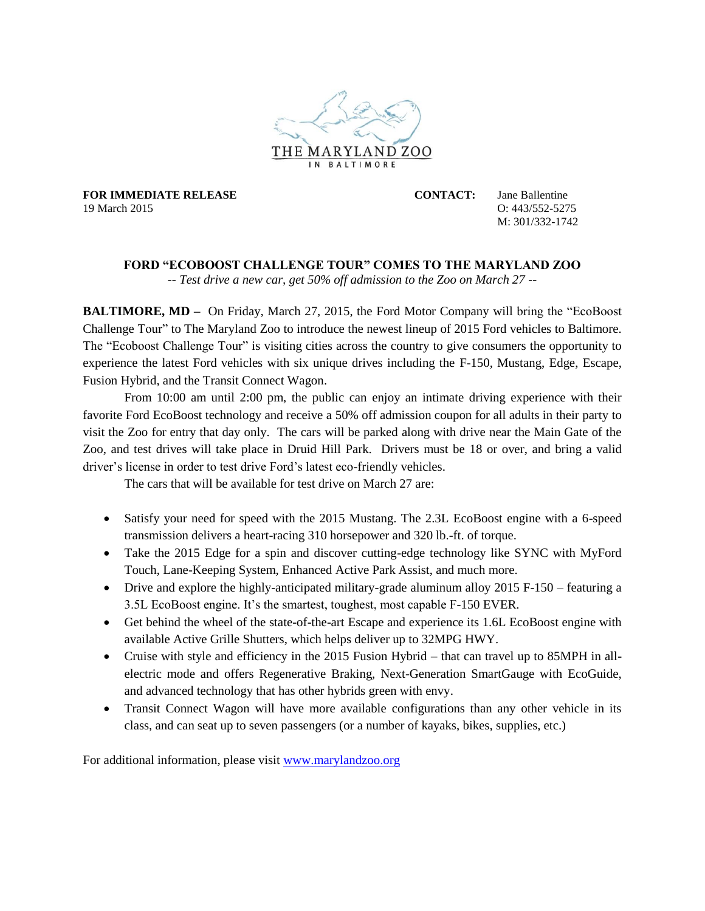

**FOR IMMEDIATE RELEASE CONTACT:** Jane Ballentine 19 March 2015 O: 443/552-5275

M: 301/332-1742

## **FORD "ECOBOOST CHALLENGE TOUR" COMES TO THE MARYLAND ZOO**

*-- Test drive a new car, get 50% off admission to the Zoo on March 27 --*

**BALTIMORE, MD** – On Friday, March 27, 2015, the Ford Motor Company will bring the "EcoBoost" Challenge Tour" to The Maryland Zoo to introduce the newest lineup of 2015 Ford vehicles to Baltimore. The "Ecoboost Challenge Tour" is visiting cities across the country to give consumers the opportunity to experience the latest Ford vehicles with six unique drives including the F-150, Mustang, Edge, Escape, Fusion Hybrid, and the Transit Connect Wagon.

From 10:00 am until 2:00 pm, the public can enjoy an intimate driving experience with their favorite Ford EcoBoost technology and receive a 50% off admission coupon for all adults in their party to visit the Zoo for entry that day only. The cars will be parked along with drive near the Main Gate of the Zoo, and test drives will take place in Druid Hill Park. Drivers must be 18 or over, and bring a valid driver's license in order to test drive Ford's latest eco-friendly vehicles.

The cars that will be available for test drive on March 27 are:

- Satisfy your need for speed with the 2015 Mustang. The 2.3L EcoBoost engine with a 6-speed transmission delivers a heart-racing 310 horsepower and 320 lb.-ft. of torque.
- Take the 2015 Edge for a spin and discover cutting-edge technology like SYNC with MyFord Touch, Lane-Keeping System, Enhanced Active Park Assist, and much more.
- Drive and explore the highly-anticipated military-grade aluminum alloy 2015 F-150 featuring a 3.5L EcoBoost engine. It's the smartest, toughest, most capable F-150 EVER.
- Get behind the wheel of the state-of-the-art Escape and experience its 1.6L EcoBoost engine with available Active Grille Shutters, which helps deliver up to 32MPG HWY.
- Cruise with style and efficiency in the 2015 Fusion Hybrid that can travel up to 85MPH in allelectric mode and offers Regenerative Braking, Next-Generation SmartGauge with EcoGuide, and advanced technology that has other hybrids green with envy.
- Transit Connect Wagon will have more available configurations than any other vehicle in its class, and can seat up to seven passengers (or a number of kayaks, bikes, supplies, etc.)

For additional information, please visit [www.marylandzoo.org](http://www.marylandzoo.org/)